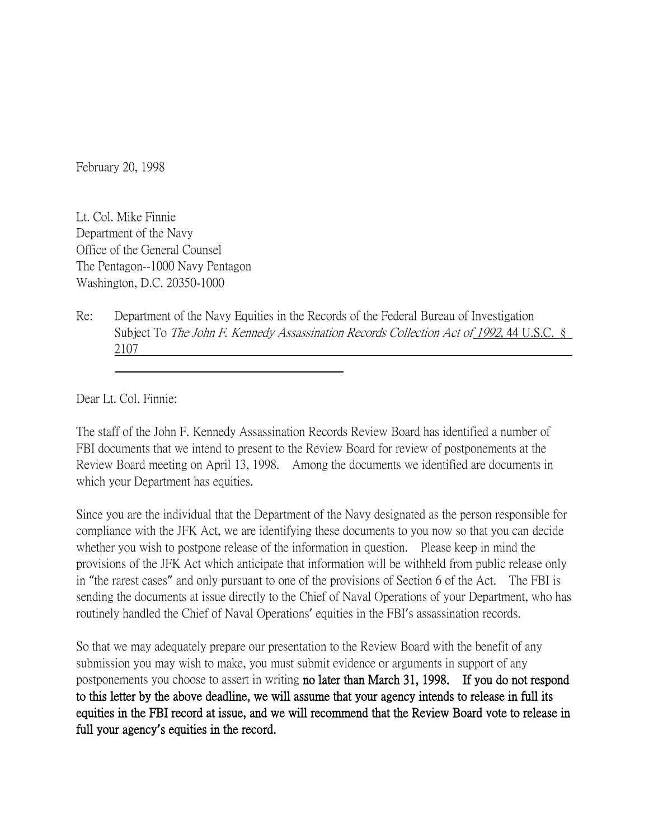February 20, 1998

Lt. Col. Mike Finnie Department of the Navy Office of the General Counsel The Pentagon--1000 Navy Pentagon Washington, D.C. 20350-1000

Re: Department of the Navy Equities in the Records of the Federal Bureau of Investigation Subject To The John F. Kennedy Assassination Records Collection Act of 1992, 44 U.S.C. § 2107

Dear Lt. Col. Finnie:

The staff of the John F. Kennedy Assassination Records Review Board has identified a number of FBI documents that we intend to present to the Review Board for review of postponements at the Review Board meeting on April 13, 1998. Among the documents we identified are documents in which your Department has equities.

Since you are the individual that the Department of the Navy designated as the person responsible for compliance with the JFK Act, we are identifying these documents to you now so that you can decide whether you wish to postpone release of the information in question. Please keep in mind the provisions of the JFK Act which anticipate that information will be withheld from public release only in "the rarest cases" and only pursuant to one of the provisions of Section 6 of the Act. The FBI is sending the documents at issue directly to the Chief of Naval Operations of your Department, who has routinely handled the Chief of Naval Operations' equities in the FBI's assassination records.

So that we may adequately prepare our presentation to the Review Board with the benefit of any submission you may wish to make, you must submit evidence or arguments in support of any postponements you choose to assert in writing no later than March 31, 1998. If you do not respond to this letter by the above deadline, we will assume that your agency intends to release in full its equities in the FBI record at issue, and we will recommend that the Review Board vote to release in full your agency**'**s equities in the record.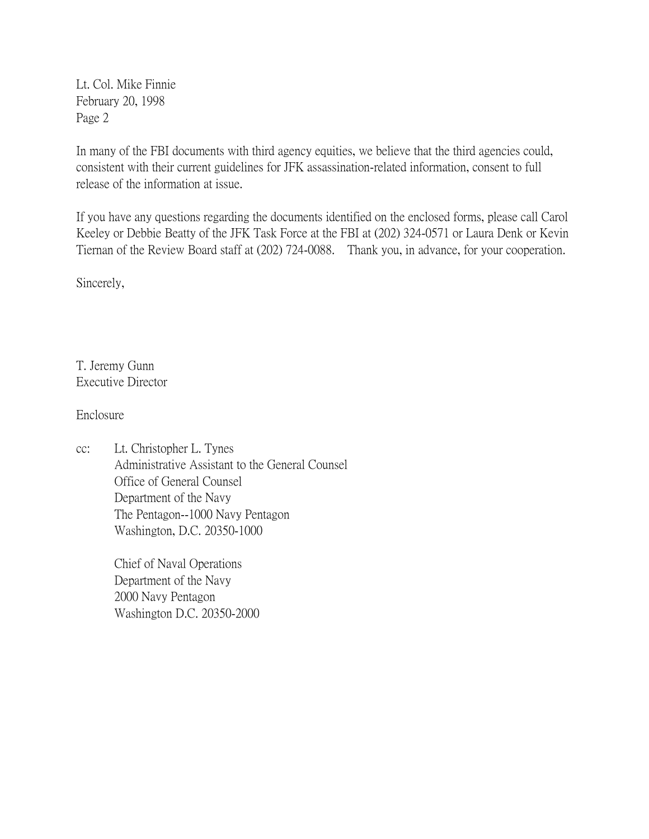Lt. Col. Mike Finnie February 20, 1998 Page 2

In many of the FBI documents with third agency equities, we believe that the third agencies could, consistent with their current guidelines for JFK assassination-related information, consent to full release of the information at issue.

If you have any questions regarding the documents identified on the enclosed forms, please call Carol Keeley or Debbie Beatty of the JFK Task Force at the FBI at (202) 324-0571 or Laura Denk or Kevin Tiernan of the Review Board staff at (202) 724-0088. Thank you, in advance, for your cooperation.

Sincerely,

T. Jeremy Gunn Executive Director

Enclosure

cc: Lt. Christopher L. Tynes Administrative Assistant to the General Counsel Office of General Counsel Department of the Navy The Pentagon--1000 Navy Pentagon Washington, D.C. 20350-1000

> Chief of Naval Operations Department of the Navy 2000 Navy Pentagon Washington D.C. 20350-2000